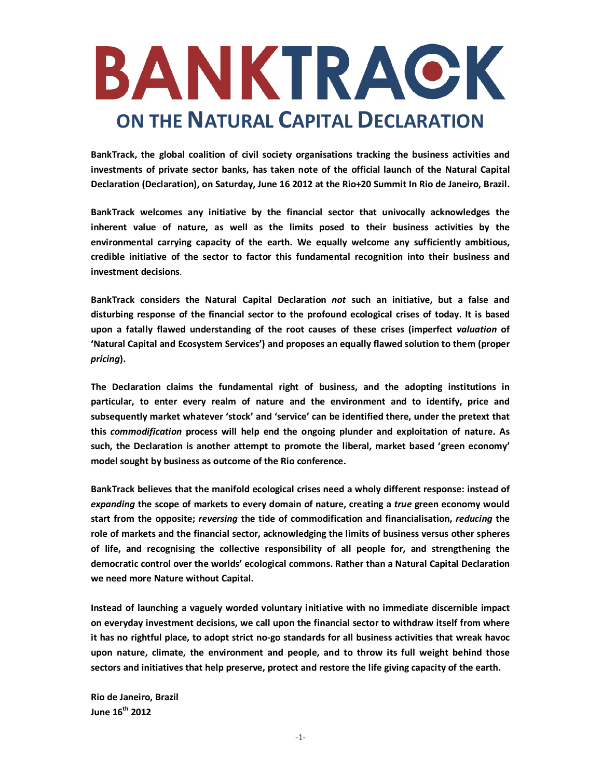

**BankTrack, the global coalition of civil society organisations tracking the business activities and investments of private sector banks, has taken note of the official launch of the Natural Capital Declaration (Declaration), on Saturday, June 16 2012 at the Rio+20 Summit In Rio de Janeiro, Brazil.** 

**BankTrack welcomes any initiative by the financial sector that univocally acknowledges the inherent value of nature, as well as the limits posed to their business activities by the environmental carrying capacity of the earth. We equally welcome any sufficiently ambitious, credible initiative of the sector to factor this fundamental recognition into their business and investment decisions**.

**BankTrack considers the Natural Capital Declaration** *not* **such an initiative, but a false and disturbing response of the financial sector to the profound ecological crises of today. It is based upon a fatally flawed understanding of the root causes of these crises (imperfect** *valuation* **of 'Natural Capital and Ecosystem Services') and proposes an equally flawed solution to them (proper**  *pricing***).** 

**The Declaration claims the fundamental right of business, and the adopting institutions in particular, to enter every realm of nature and the environment and to identify, price and subsequently market whatever 'stock' and 'service' can be identified there, under the pretext that this** *commodification* **process will help end the ongoing plunder and exploitation of nature. As such, the Declaration is another attempt to promote the liberal, market based 'green economy' model sought by business as outcome of the Rio conference.** 

**BankTrack believes that the manifold ecological crises need a wholy different response: instead of**  *expanding* **the scope of markets to every domain of nature, creating a** *true* **green economy would start from the opposite;** *reversing* **the tide of commodification and financialisation,** *reducing* **the role of markets and the financial sector, acknowledging the limits of business versus other spheres of life, and recognising the collective responsibility of all people for, and strengthening the democratic control over the worlds' ecological commons. Rather than a Natural Capital Declaration we need more Nature without Capital.** 

**Instead of launching a vaguely worded voluntary initiative with no immediate discernible impact on everyday investment decisions, we call upon the financial sector to withdraw itself from where it has no rightful place, to adopt strict no-go standards for all business activities that wreak havoc upon nature, climate, the environment and people, and to throw its full weight behind those sectors and initiatives that help preserve, protect and restore the life giving capacity of the earth.**

**Rio de Janeiro, Brazil June 16th 2012**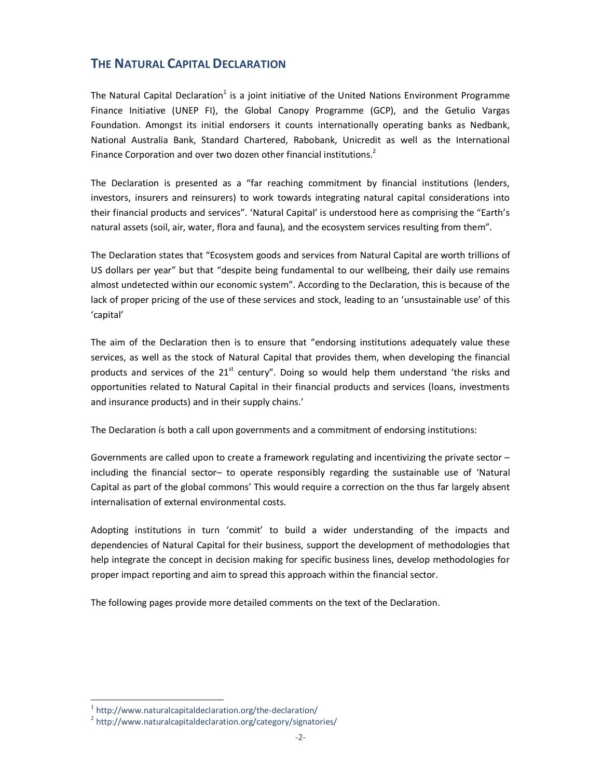# **THE NATURAL CAPITAL DECLARATION**

The Natural Capital Declaration<sup>1</sup> is a joint initiative of the United Nations Environment Programme Finance Initiative (UNEP FI), the Global Canopy Programme (GCP), and the Getulio Vargas Foundation. Amongst its initial endorsers it counts internationally operating banks as Nedbank, National Australia Bank, Standard Chartered, Rabobank, Unicredit as well as the International Finance Corporation and over two dozen other financial institutions.<sup>2</sup>

The Declaration is presented as a "far reaching commitment by financial institutions (lenders, investors, insurers and reinsurers) to work towards integrating natural capital considerations into their financial products and services". 'Natural Capital' is understood here as comprising the "Earth's natural assets (soil, air, water, flora and fauna), and the ecosystem services resulting from them".

The Declaration states that "Ecosystem goods and services from Natural Capital are worth trillions of US dollars per year" but that "despite being fundamental to our wellbeing, their daily use remains almost undetected within our economic system". According to the Declaration, this is because of the lack of proper pricing of the use of these services and stock, leading to an 'unsustainable use' of this 'capital'

The aim of the Declaration then is to ensure that "endorsing institutions adequately value these services, as well as the stock of Natural Capital that provides them, when developing the financial products and services of the  $21<sup>st</sup>$  century". Doing so would help them understand 'the risks and opportunities related to Natural Capital in their financial products and services (loans, investments and insurance products) and in their supply chains.'

The Declaration ís both a call upon governments and a commitment of endorsing institutions:

Governments are called upon to create a framework regulating and incentivizing the private sector – including the financial sector– to operate responsibly regarding the sustainable use of 'Natural Capital as part of the global commons' This would require a correction on the thus far largely absent internalisation of external environmental costs.

Adopting institutions in turn 'commit' to build a wider understanding of the impacts and dependencies of Natural Capital for their business, support the development of methodologies that help integrate the concept in decision making for specific business lines, develop methodologies for proper impact reporting and aim to spread this approach within the financial sector.

The following pages provide more detailed comments on the text of the Declaration.

 1 http://www.naturalcapitaldeclaration.org/the-declaration/

<sup>&</sup>lt;sup>2</sup> http://www.naturalcapitaldeclaration.org/category/signatories/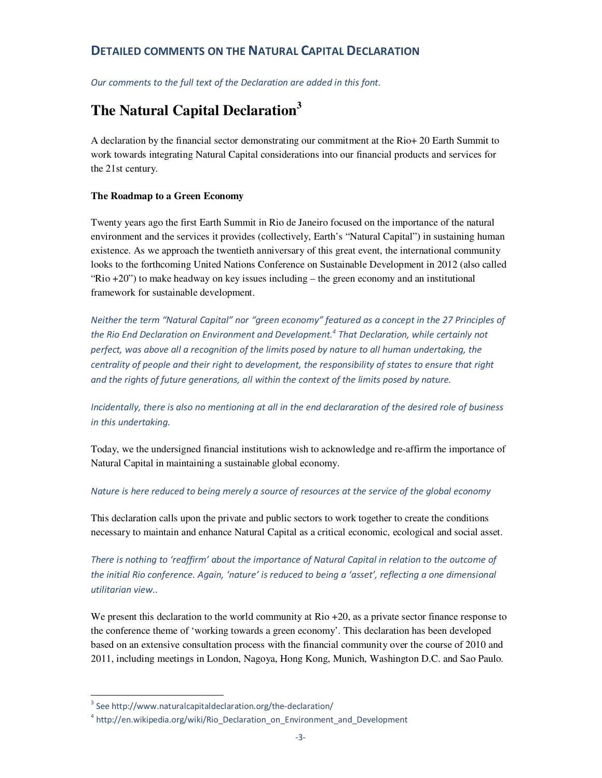# **DETAILED COMMENTS ON THE NATURAL CAPITAL DECLARATION**

*Our comments to the full text of the Declaration are added in this font.* 

# **The Natural Capital Declaration<sup>3</sup>**

A declaration by the financial sector demonstrating our commitment at the Rio+ 20 Earth Summit to work towards integrating Natural Capital considerations into our financial products and services for the 21st century.

## **The Roadmap to a Green Economy**

Twenty years ago the first Earth Summit in Rio de Janeiro focused on the importance of the natural environment and the services it provides (collectively, Earth's "Natural Capital") in sustaining human existence. As we approach the twentieth anniversary of this great event, the international community looks to the forthcoming United Nations Conference on Sustainable Development in 2012 (also called "Rio +20") to make headway on key issues including – the green economy and an institutional framework for sustainable development.

*Neither the term "Natural Capital" nor "green economy" featured as a concept in the 27 Principles of the Rio End Declaration on Environment and Development.<sup>4</sup> That Declaration, while certainly not perfect, was above all a recognition of the limits posed by nature to all human undertaking, the centrality of people and their right to development, the responsibility of states to ensure that right and the rights of future generations, all within the context of the limits posed by nature.* 

*Incidentally, there is also no mentioning at all in the end declararation of the desired role of business in this undertaking.* 

Today, we the undersigned financial institutions wish to acknowledge and re-affirm the importance of Natural Capital in maintaining a sustainable global economy.

## *Nature is here reduced to being merely a source of resources at the service of the global economy*

This declaration calls upon the private and public sectors to work together to create the conditions necessary to maintain and enhance Natural Capital as a critical economic, ecological and social asset.

*There is nothing to 'reaffirm' about the importance of Natural Capital in relation to the outcome of the initial Rio conference. Again, 'nature' is reduced to being a 'asset', reflecting a one dimensional utilitarian view..* 

We present this declaration to the world community at Rio  $+20$ , as a private sector finance response to the conference theme of 'working towards a green economy'. This declaration has been developed based on an extensive consultation process with the financial community over the course of 2010 and 2011, including meetings in London, Nagoya, Hong Kong, Munich, Washington D.C. and Sao Paulo.

l

<sup>&</sup>lt;sup>3</sup> See http://www.naturalcapitaldeclaration.org/the-declaration/

<sup>&</sup>lt;sup>4</sup> http://en.wikipedia.org/wiki/Rio\_Declaration\_on\_Environment\_and\_Development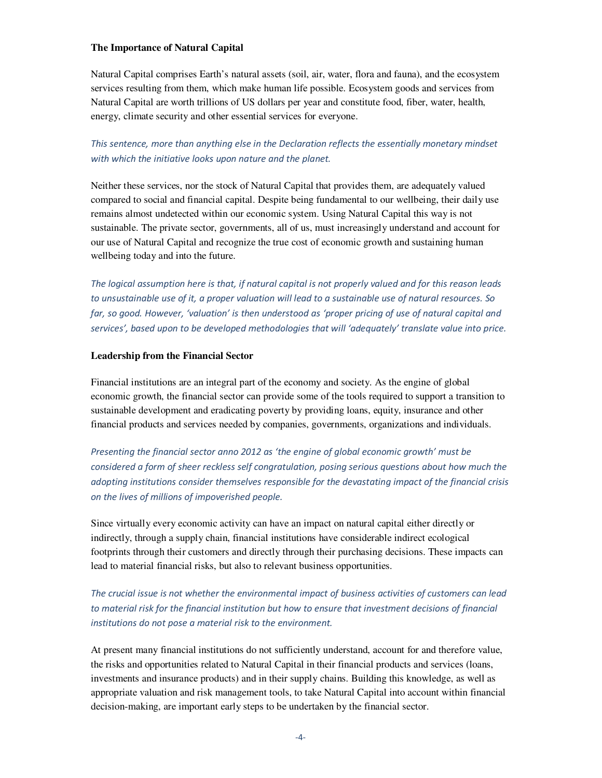#### **The Importance of Natural Capital**

Natural Capital comprises Earth's natural assets (soil, air, water, flora and fauna), and the ecosystem services resulting from them, which make human life possible. Ecosystem goods and services from Natural Capital are worth trillions of US dollars per year and constitute food, fiber, water, health, energy, climate security and other essential services for everyone.

## *This sentence, more than anything else in the Declaration reflects the essentially monetary mindset with which the initiative looks upon nature and the planet.*

Neither these services, nor the stock of Natural Capital that provides them, are adequately valued compared to social and financial capital. Despite being fundamental to our wellbeing, their daily use remains almost undetected within our economic system. Using Natural Capital this way is not sustainable. The private sector, governments, all of us, must increasingly understand and account for our use of Natural Capital and recognize the true cost of economic growth and sustaining human wellbeing today and into the future.

*The logical assumption here is that, if natural capital is not properly valued and for this reason leads to unsustainable use of it, a proper valuation will lead to a sustainable use of natural resources. So far, so good. However, 'valuation' is then understood as 'proper pricing of use of natural capital and services', based upon to be developed methodologies that will 'adequately' translate value into price.*

#### **Leadership from the Financial Sector**

Financial institutions are an integral part of the economy and society. As the engine of global economic growth, the financial sector can provide some of the tools required to support a transition to sustainable development and eradicating poverty by providing loans, equity, insurance and other financial products and services needed by companies, governments, organizations and individuals.

*Presenting the financial sector anno 2012 as 'the engine of global economic growth' must be considered a form of sheer reckless self congratulation, posing serious questions about how much the adopting institutions consider themselves responsible for the devastating impact of the financial crisis on the lives of millions of impoverished people.* 

Since virtually every economic activity can have an impact on natural capital either directly or indirectly, through a supply chain, financial institutions have considerable indirect ecological footprints through their customers and directly through their purchasing decisions. These impacts can lead to material financial risks, but also to relevant business opportunities.

*The crucial issue is not whether the environmental impact of business activities of customers can lead to material risk for the financial institution but how to ensure that investment decisions of financial institutions do not pose a material risk to the environment.* 

At present many financial institutions do not sufficiently understand, account for and therefore value, the risks and opportunities related to Natural Capital in their financial products and services (loans, investments and insurance products) and in their supply chains. Building this knowledge, as well as appropriate valuation and risk management tools, to take Natural Capital into account within financial decision-making, are important early steps to be undertaken by the financial sector.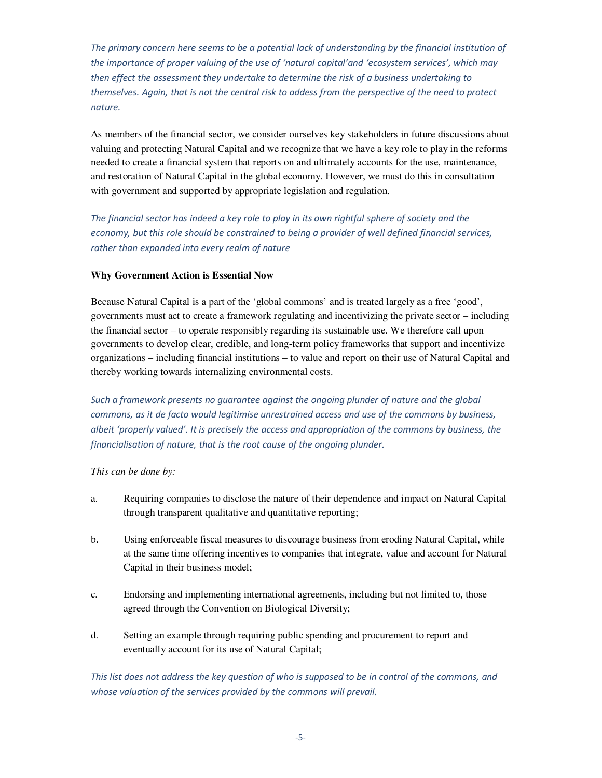*The primary concern here seems to be a potential lack of understanding by the financial institution of the importance of proper valuing of the use of 'natural capital'and 'ecosystem services', which may then effect the assessment they undertake to determine the risk of a business undertaking to themselves. Again, that is not the central risk to addess from the perspective of the need to protect nature.*

As members of the financial sector, we consider ourselves key stakeholders in future discussions about valuing and protecting Natural Capital and we recognize that we have a key role to play in the reforms needed to create a financial system that reports on and ultimately accounts for the use, maintenance, and restoration of Natural Capital in the global economy. However, we must do this in consultation with government and supported by appropriate legislation and regulation.

*The financial sector has indeed a key role to play in its own rightful sphere of society and the economy, but this role should be constrained to being a provider of well defined financial services, rather than expanded into every realm of nature* 

## **Why Government Action is Essential Now**

Because Natural Capital is a part of the 'global commons' and is treated largely as a free 'good', governments must act to create a framework regulating and incentivizing the private sector – including the financial sector – to operate responsibly regarding its sustainable use. We therefore call upon governments to develop clear, credible, and long-term policy frameworks that support and incentivize organizations – including financial institutions – to value and report on their use of Natural Capital and thereby working towards internalizing environmental costs.

*Such a framework presents no guarantee against the ongoing plunder of nature and the global commons, as it de facto would legitimise unrestrained access and use of the commons by business, albeit 'properly valued'. It is precisely the access and appropriation of the commons by business, the financialisation of nature, that is the root cause of the ongoing plunder.* 

*This can be done by:*

- a. Requiring companies to disclose the nature of their dependence and impact on Natural Capital through transparent qualitative and quantitative reporting;
- b. Using enforceable fiscal measures to discourage business from eroding Natural Capital, while at the same time offering incentives to companies that integrate, value and account for Natural Capital in their business model;
- c. Endorsing and implementing international agreements, including but not limited to, those agreed through the Convention on Biological Diversity;
- d. Setting an example through requiring public spending and procurement to report and eventually account for its use of Natural Capital;

*This list does not address the key question of who is supposed to be in control of the commons, and whose valuation of the services provided by the commons will prevail.*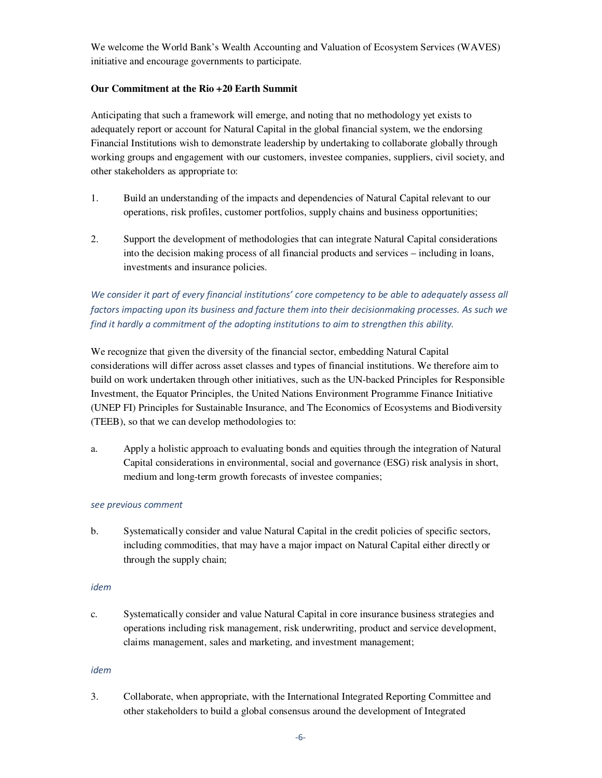We welcome the World Bank's Wealth Accounting and Valuation of Ecosystem Services (WAVES) initiative and encourage governments to participate.

### **Our Commitment at the Rio +20 Earth Summit**

Anticipating that such a framework will emerge, and noting that no methodology yet exists to adequately report or account for Natural Capital in the global financial system, we the endorsing Financial Institutions wish to demonstrate leadership by undertaking to collaborate globally through working groups and engagement with our customers, investee companies, suppliers, civil society, and other stakeholders as appropriate to:

- 1. Build an understanding of the impacts and dependencies of Natural Capital relevant to our operations, risk profiles, customer portfolios, supply chains and business opportunities;
- 2. Support the development of methodologies that can integrate Natural Capital considerations into the decision making process of all financial products and services – including in loans, investments and insurance policies.

*We consider it part of every financial institutions' core competency to be able to adequately assess all factors impacting upon its business and facture them into their decisionmaking processes. As such we find it hardly a commitment of the adopting institutions to aim to strengthen this ability.* 

We recognize that given the diversity of the financial sector, embedding Natural Capital considerations will differ across asset classes and types of financial institutions. We therefore aim to build on work undertaken through other initiatives, such as the UN-backed Principles for Responsible Investment, the Equator Principles, the United Nations Environment Programme Finance Initiative (UNEP FI) Principles for Sustainable Insurance, and The Economics of Ecosystems and Biodiversity (TEEB), so that we can develop methodologies to:

a. Apply a holistic approach to evaluating bonds and equities through the integration of Natural Capital considerations in environmental, social and governance (ESG) risk analysis in short, medium and long-term growth forecasts of investee companies;

### *see previous comment*

b. Systematically consider and value Natural Capital in the credit policies of specific sectors, including commodities, that may have a major impact on Natural Capital either directly or through the supply chain;

#### *idem*

c. Systematically consider and value Natural Capital in core insurance business strategies and operations including risk management, risk underwriting, product and service development, claims management, sales and marketing, and investment management;

#### *idem*

3. Collaborate, when appropriate, with the International Integrated Reporting Committee and other stakeholders to build a global consensus around the development of Integrated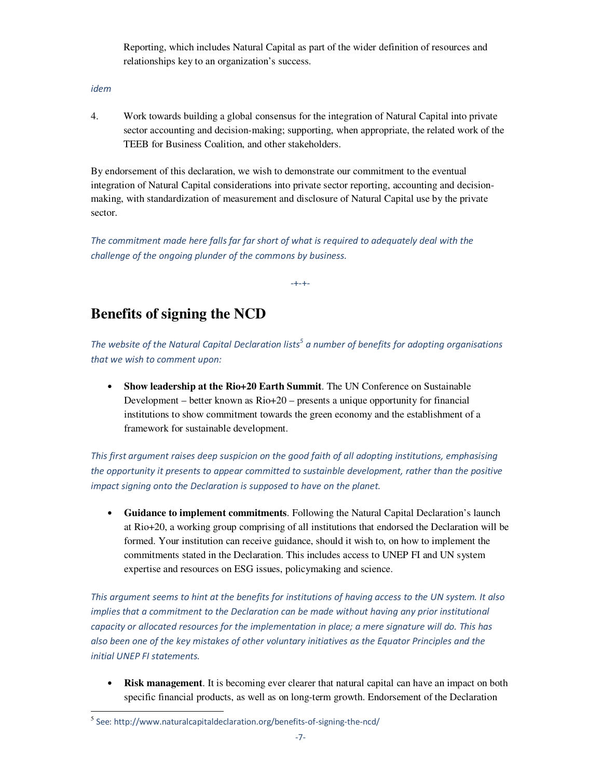Reporting, which includes Natural Capital as part of the wider definition of resources and relationships key to an organization's success.

*idem* 

4. Work towards building a global consensus for the integration of Natural Capital into private sector accounting and decision-making; supporting, when appropriate, the related work of the TEEB for Business Coalition, and other stakeholders.

By endorsement of this declaration, we wish to demonstrate our commitment to the eventual integration of Natural Capital considerations into private sector reporting, accounting and decisionmaking, with standardization of measurement and disclosure of Natural Capital use by the private sector.

*The commitment made here falls far far short of what is required to adequately deal with the challenge of the ongoing plunder of the commons by business.* 

-+-+-

# **Benefits of signing the NCD**

The website of the Natural Capital Declaration lists<sup>5</sup> a number of benefits for adopting organisations *that we wish to comment upon:* 

• **Show leadership at the Rio+20 Earth Summit**. The UN Conference on Sustainable Development – better known as Rio+20 – presents a unique opportunity for financial institutions to show commitment towards the green economy and the establishment of a framework for sustainable development.

*This first argument raises deep suspicion on the good faith of all adopting institutions, emphasising the opportunity it presents to appear committed to sustainble development, rather than the positive impact signing onto the Declaration is supposed to have on the planet.* 

• **Guidance to implement commitments**. Following the Natural Capital Declaration's launch at Rio+20, a working group comprising of all institutions that endorsed the Declaration will be formed. Your institution can receive guidance, should it wish to, on how to implement the commitments stated in the Declaration. This includes access to UNEP FI and UN system expertise and resources on ESG issues, policymaking and science.

*This argument seems to hint at the benefits for institutions of having access to the UN system. It also implies that a commitment to the Declaration can be made without having any prior institutional capacity or allocated resources for the implementation in place; a mere signature will do. This has also been one of the key mistakes of other voluntary initiatives as the Equator Principles and the initial UNEP FI statements.* 

• **Risk management**. It is becoming ever clearer that natural capital can have an impact on both specific financial products, as well as on long-term growth. Endorsement of the Declaration

 5 See: http://www.naturalcapitaldeclaration.org/benefits-of-signing-the-ncd/